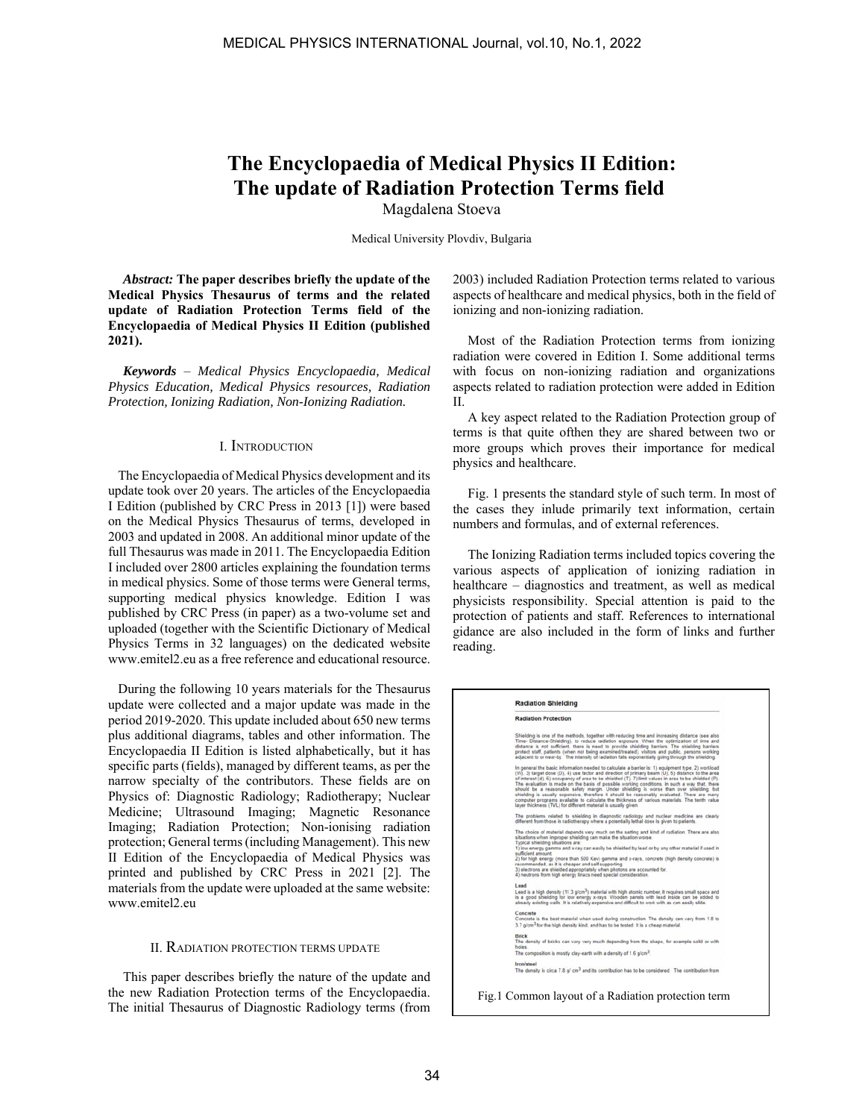# **The Encyclopaedia of Medical Physics II Edition: The update of Radiation Protection Terms field**

Magdalena Stoeva

Medical University Plovdiv, Bulgaria

*Abstract:* **The paper describes briefly the update of the Medical Physics Thesaurus of terms and the related update of Radiation Protection Terms field of the Encyclopaedia of Medical Physics II Edition (published 2021).**

*Keywords* – *Medical Physics Encyclopaedia, Medical Physics Education, Medical Physics resources, Radiation Protection, Ionizing Radiation, Non-Ionizing Radiation.*

### I. INTRODUCTION

 The Encyclopaedia of Medical Physics development and its update took over 20 years. The articles of the Encyclopaedia I Edition (published by CRC Press in 2013 [1]) were based on the Medical Physics Thesaurus of terms, developed in 2003 and updated in 2008. An additional minor update of the full Thesaurus was made in 2011. The Encyclopaedia Edition I included over 2800 articles explaining the foundation terms in medical physics. Some of those terms were General terms, supporting medical physics knowledge. Edition I was published by CRC Press (in paper) as a two-volume set and uploaded (together with the Scientific Dictionary of Medical Physics Terms in 32 languages) on the dedicated website www.emitel2.eu as a free reference and educational resource.

 During the following 10 years materials for the Thesaurus update were collected and a major update was made in the period 2019-2020. This update included about 650 new terms plus additional diagrams, tables and other information. The Encyclopaedia II Edition is listed alphabetically, but it has specific parts (fields), managed by different teams, as per the narrow specialty of the contributors. These fields are on Physics of: Diagnostic Radiology; Radiotherapy; Nuclear Medicine; Ultrasound Imaging; Magnetic Resonance Imaging; Radiation Protection; Non-ionising radiation protection; General terms (including Management). This new II Edition of the Encyclopaedia of Medical Physics was printed and published by CRC Press in 2021 [2]. The materials from the update were uploaded at the same website: www.emitel2.eu

## II. RADIATION PROTECTION TERMS UPDATE

This paper describes briefly the nature of the update and the new Radiation Protection terms of the Encyclopaedia. The initial Thesaurus of Diagnostic Radiology terms (from 2003) included Radiation Protection terms related to various aspects of healthcare and medical physics, both in the field of ionizing and non-ionizing radiation.

Most of the Radiation Protection terms from ionizing radiation were covered in Edition I. Some additional terms with focus on non-ionizing radiation and organizations aspects related to radiation protection were added in Edition II.

A key aspect related to the Radiation Protection group of terms is that quite ofthen they are shared between two or more groups which proves their importance for medical physics and healthcare.

Fig. 1 presents the standard style of such term. In most of the cases they inlude primarily text information, certain numbers and formulas, and of external references.

The Ionizing Radiation terms included topics covering the various aspects of application of ionizing radiation in healthcare – diagnostics and treatment, as well as medical physicists responsibility. Special attention is paid to the protection of patients and staff. References to international gidance are also included in the form of links and further reading.